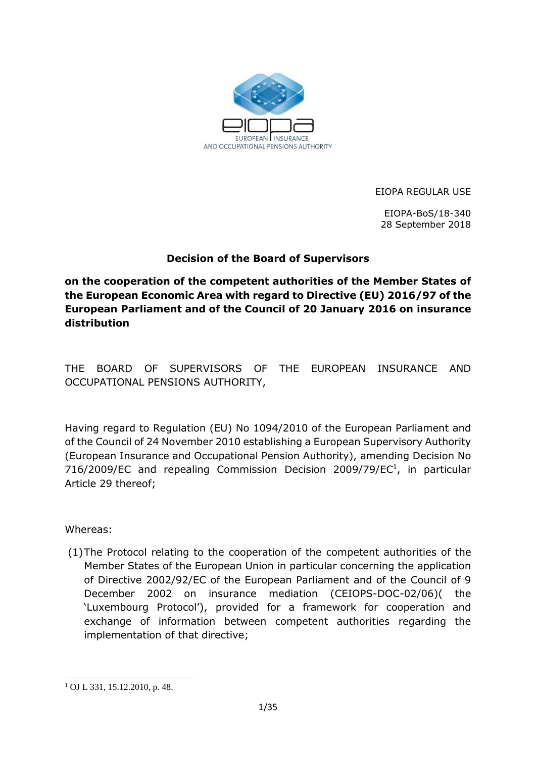

EIOPA REGULAR USE

EIOPA-BoS/18-340 28 September 2018

## **Decision of the Board of Supervisors**

**on the cooperation of the competent authorities of the Member States of the European Economic Area with regard to Directive (EU) 2016/97 of the European Parliament and of the Council of 20 January 2016 on insurance distribution**

THE BOARD OF SUPERVISORS OF THE EUROPEAN INSURANCE AND OCCUPATIONAL PENSIONS AUTHORITY,

Having regard to Regulation (EU) No 1094/2010 of the European Parliament and of the Council of 24 November 2010 establishing a European Supervisory Authority (European Insurance and Occupational Pension Authority), amending Decision No 716/2009/EC and repealing Commission Decision 2009/79/EC $^1$ , in particular Article 29 thereof;

Whereas:

(1)The Protocol relating to the cooperation of the competent authorities of the Member States of the European Union in particular concerning the application of Directive 2002/92/EC of the European Parliament and of the Council of 9 December 2002 on insurance mediation (CEIOPS-DOC-02/06)( the 'Luxembourg Protocol'), provided for a framework for cooperation and exchange of information between competent authorities regarding the implementation of that directive;

**<sup>.</sup>** <sup>1</sup> OJ L 331, 15.12.2010, p. 48.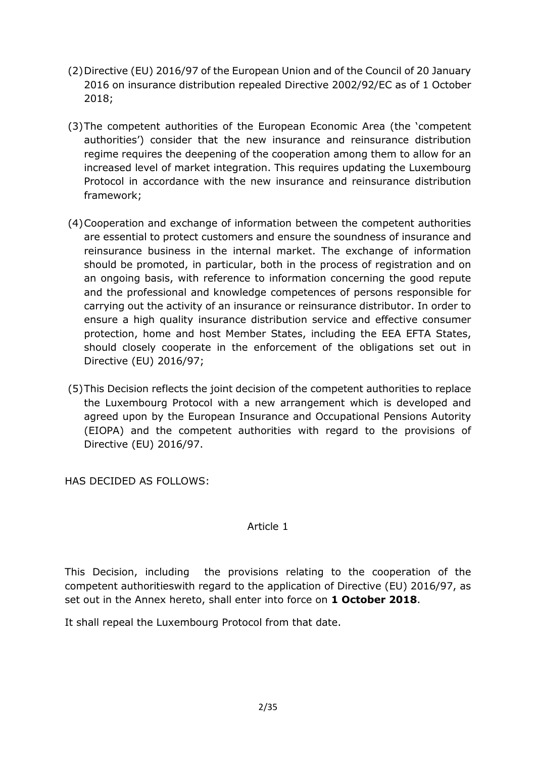- (2)Directive (EU) 2016/97 of the European Union and of the Council of 20 January 2016 on insurance distribution repealed Directive 2002/92/EC as of 1 October 2018;
- (3)The competent authorities of the European Economic Area (the 'competent authorities') consider that the new insurance and reinsurance distribution regime requires the deepening of the cooperation among them to allow for an increased level of market integration. This requires updating the Luxembourg Protocol in accordance with the new insurance and reinsurance distribution framework;
- (4)Cooperation and exchange of information between the competent authorities are essential to protect customers and ensure the soundness of insurance and reinsurance business in the internal market. The exchange of information should be promoted, in particular, both in the process of registration and on an ongoing basis, with reference to information concerning the good repute and the professional and knowledge competences of persons responsible for carrying out the activity of an insurance or reinsurance distributor. In order to ensure a high quality insurance distribution service and effective consumer protection, home and host Member States, including the EEA EFTA States, should closely cooperate in the enforcement of the obligations set out in Directive (EU) 2016/97;
- (5)This Decision reflects the joint decision of the competent authorities to replace the Luxembourg Protocol with a new arrangement which is developed and agreed upon by the European Insurance and Occupational Pensions Autority (EIOPA) and the competent authorities with regard to the provisions of Directive (EU) 2016/97.

HAS DECIDED AS FOLLOWS:

### Article 1

This Decision, including the provisions relating to the cooperation of the competent authoritieswith regard to the application of Directive (EU) 2016/97, as set out in the Annex hereto, shall enter into force on **1 October 2018**.

It shall repeal the Luxembourg Protocol from that date.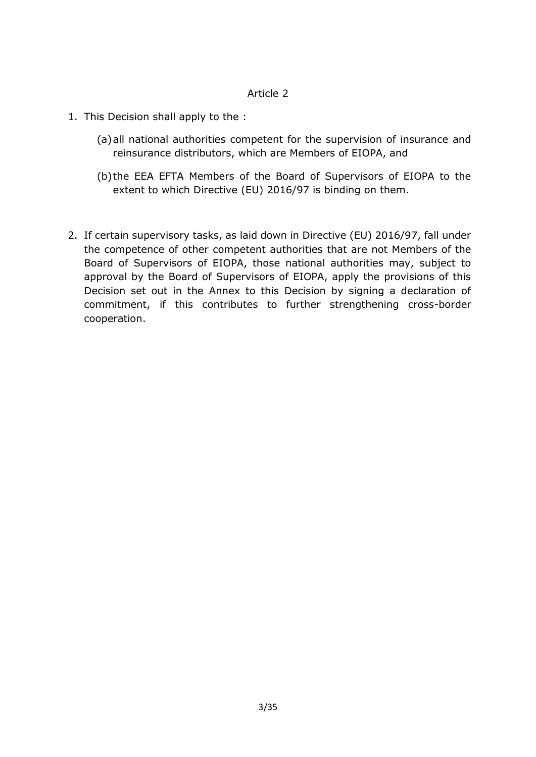### Article 2

- 1. This Decision shall apply to the :
	- (a)all national authorities competent for the supervision of insurance and reinsurance distributors, which are Members of EIOPA, and
	- (b)the EEA EFTA Members of the Board of Supervisors of EIOPA to the extent to which Directive (EU) 2016/97 is binding on them.
- 2. If certain supervisory tasks, as laid down in Directive (EU) 2016/97, fall under the competence of other competent authorities that are not Members of the Board of Supervisors of EIOPA, those national authorities may, subject to approval by the Board of Supervisors of EIOPA, apply the provisions of this Decision set out in the Annex to this Decision by signing a declaration of commitment, if this contributes to further strengthening cross-border cooperation.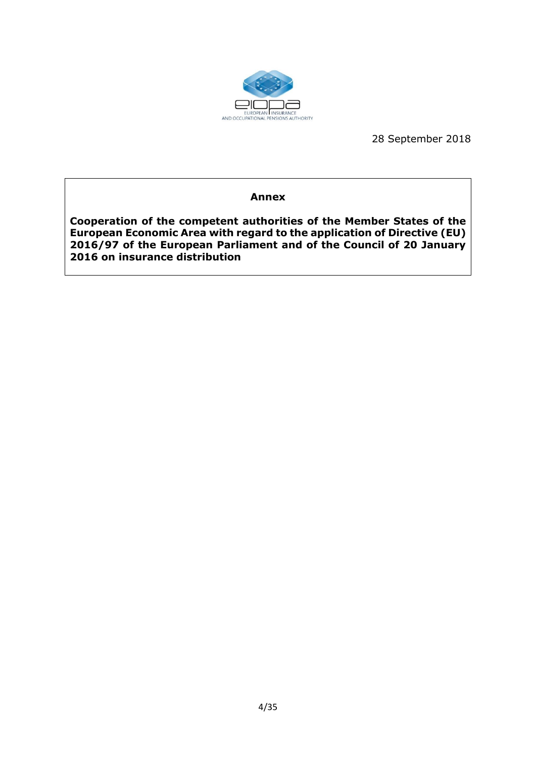

28 September 2018

#### **Annex**

**Cooperation of the competent authorities of the Member States of the European Economic Area with regard to the application of Directive (EU) 2016/97 of the European Parliament and of the Council of 20 January 2016 on insurance distribution**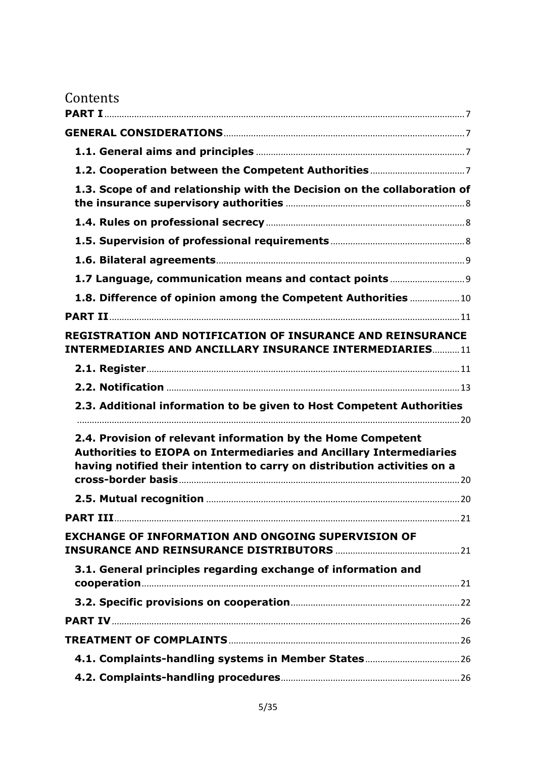| 1.3. Scope of and relationship with the Decision on the collaboration of                                                                                                                                               |  |
|------------------------------------------------------------------------------------------------------------------------------------------------------------------------------------------------------------------------|--|
|                                                                                                                                                                                                                        |  |
|                                                                                                                                                                                                                        |  |
|                                                                                                                                                                                                                        |  |
| 1.7 Language, communication means and contact points  9                                                                                                                                                                |  |
| 1.8. Difference of opinion among the Competent Authorities  10                                                                                                                                                         |  |
|                                                                                                                                                                                                                        |  |
| <b>REGISTRATION AND NOTIFICATION OF INSURANCE AND REINSURANCE</b><br><b>INTERMEDIARIES AND ANCILLARY INSURANCE INTERMEDIARIES 11</b>                                                                                   |  |
|                                                                                                                                                                                                                        |  |
|                                                                                                                                                                                                                        |  |
|                                                                                                                                                                                                                        |  |
| 2.3. Additional information to be given to Host Competent Authorities                                                                                                                                                  |  |
| 2.4. Provision of relevant information by the Home Competent<br><b>Authorities to EIOPA on Intermediaries and Ancillary Intermediaries</b><br>having notified their intention to carry on distribution activities on a |  |
|                                                                                                                                                                                                                        |  |
| <b>PART III</b> 21                                                                                                                                                                                                     |  |
| <b>EXCHANGE OF INFORMATION AND ONGOING SUPERVISION OF</b>                                                                                                                                                              |  |
| 3.1. General principles regarding exchange of information and                                                                                                                                                          |  |
|                                                                                                                                                                                                                        |  |
|                                                                                                                                                                                                                        |  |
|                                                                                                                                                                                                                        |  |
|                                                                                                                                                                                                                        |  |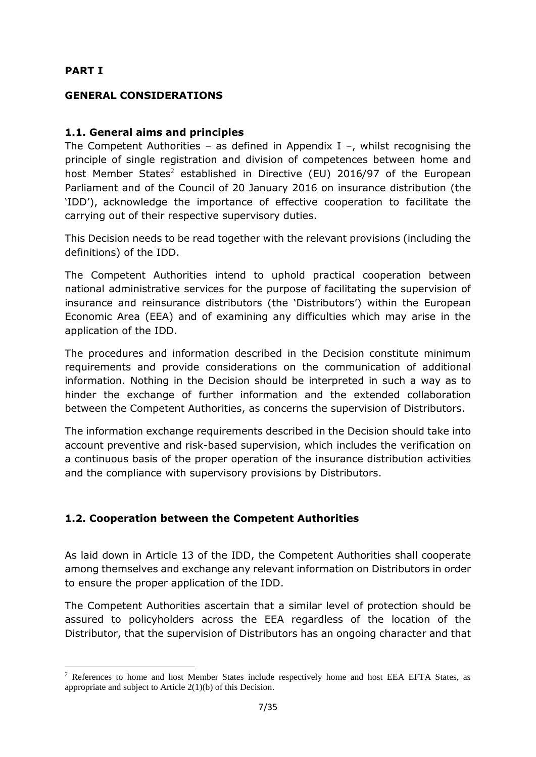### <span id="page-6-0"></span>**PART I**

1

### <span id="page-6-1"></span>**GENERAL CONSIDERATIONS**

### <span id="page-6-2"></span>**1.1. General aims and principles**

The Competent Authorities – as defined in Appendix I –, whilst recognising the principle of single registration and division of competences between home and host Member States<sup>2</sup> established in Directive (EU) 2016/97 of the European Parliament and of the Council of 20 January 2016 on insurance distribution (the 'IDD'), acknowledge the importance of effective cooperation to facilitate the carrying out of their respective supervisory duties.

This Decision needs to be read together with the relevant provisions (including the definitions) of the IDD.

The Competent Authorities intend to uphold practical cooperation between national administrative services for the purpose of facilitating the supervision of insurance and reinsurance distributors (the 'Distributors') within the European Economic Area (EEA) and of examining any difficulties which may arise in the application of the IDD.

The procedures and information described in the Decision constitute minimum requirements and provide considerations on the communication of additional information. Nothing in the Decision should be interpreted in such a way as to hinder the exchange of further information and the extended collaboration between the Competent Authorities, as concerns the supervision of Distributors.

The information exchange requirements described in the Decision should take into account preventive and risk-based supervision, which includes the verification on a continuous basis of the proper operation of the insurance distribution activities and the compliance with supervisory provisions by Distributors.

## <span id="page-6-3"></span>**1.2. Cooperation between the Competent Authorities**

As laid down in Article 13 of the IDD, the Competent Authorities shall cooperate among themselves and exchange any relevant information on Distributors in order to ensure the proper application of the IDD.

The Competent Authorities ascertain that a similar level of protection should be assured to policyholders across the EEA regardless of the location of the Distributor, that the supervision of Distributors has an ongoing character and that

<sup>&</sup>lt;sup>2</sup> References to home and host Member States include respectively home and host EEA EFTA States, as appropriate and subject to Article 2(1)(b) of this Decision.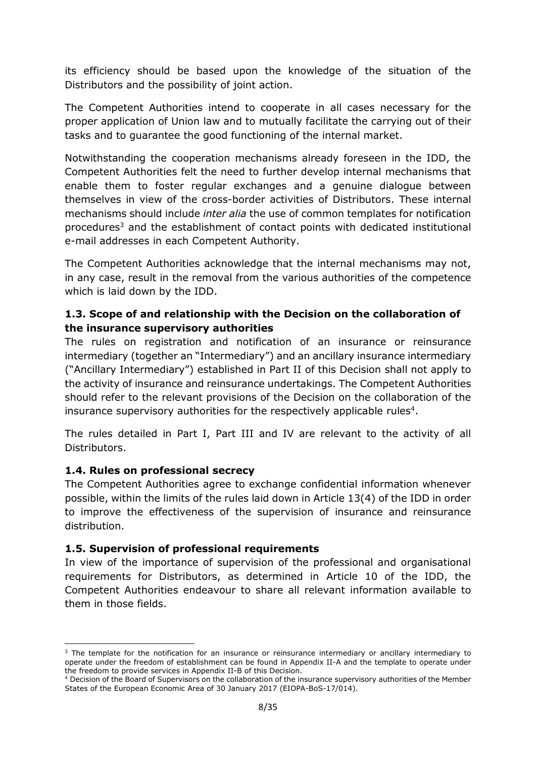its efficiency should be based upon the knowledge of the situation of the Distributors and the possibility of joint action.

The Competent Authorities intend to cooperate in all cases necessary for the proper application of Union law and to mutually facilitate the carrying out of their tasks and to guarantee the good functioning of the internal market.

Notwithstanding the cooperation mechanisms already foreseen in the IDD, the Competent Authorities felt the need to further develop internal mechanisms that enable them to foster regular exchanges and a genuine dialogue between themselves in view of the cross-border activities of Distributors. These internal mechanisms should include *inter alia* the use of common templates for notification procedures<sup>3</sup> and the establishment of contact points with dedicated institutional e-mail addresses in each Competent Authority.

The Competent Authorities acknowledge that the internal mechanisms may not, in any case, result in the removal from the various authorities of the competence which is laid down by the IDD.

## <span id="page-7-0"></span>**1.3. Scope of and relationship with the Decision on the collaboration of the insurance supervisory authorities**

The rules on registration and notification of an insurance or reinsurance intermediary (together an "Intermediary") and an ancillary insurance intermediary ("Ancillary Intermediary") established in Part II of this Decision shall not apply to the activity of insurance and reinsurance undertakings. The Competent Authorities should refer to the relevant provisions of the Decision on the collaboration of the insurance supervisory authorities for the respectively applicable rules<sup>4</sup>.

The rules detailed in Part I, Part III and IV are relevant to the activity of all Distributors.

## <span id="page-7-1"></span>**1.4. Rules on professional secrecy**

The Competent Authorities agree to exchange confidential information whenever possible, within the limits of the rules laid down in Article 13(4) of the IDD in order to improve the effectiveness of the supervision of insurance and reinsurance distribution.

## <span id="page-7-2"></span>**1.5. Supervision of professional requirements**

In view of the importance of supervision of the professional and organisational requirements for Distributors, as determined in Article 10 of the IDD, the Competent Authorities endeavour to share all relevant information available to them in those fields.

**<sup>.</sup>** <sup>3</sup> The template for the notification for an insurance or reinsurance intermediary or ancillary intermediary to operate under the freedom of establishment can be found in Appendix II-A and the template to operate under the freedom to provide services in Appendix II-B of this Decision.

<sup>4</sup> Decision of the Board of Supervisors on the collaboration of the insurance supervisory authorities of the Member States of the European Economic Area of 30 January 2017 (EIOPA-BoS-17/014).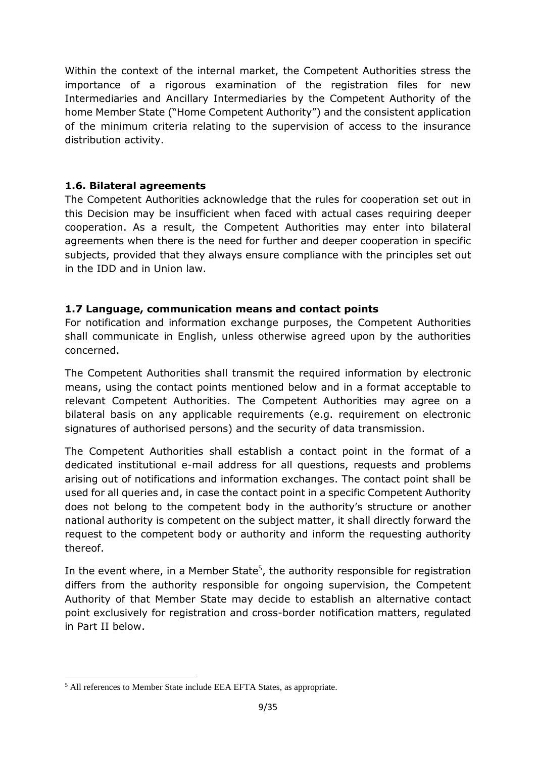Within the context of the internal market, the Competent Authorities stress the importance of a rigorous examination of the registration files for new Intermediaries and Ancillary Intermediaries by the Competent Authority of the home Member State ("Home Competent Authority") and the consistent application of the minimum criteria relating to the supervision of access to the insurance distribution activity.

### <span id="page-8-0"></span>**1.6. Bilateral agreements**

The Competent Authorities acknowledge that the rules for cooperation set out in this Decision may be insufficient when faced with actual cases requiring deeper cooperation. As a result, the Competent Authorities may enter into bilateral agreements when there is the need for further and deeper cooperation in specific subjects, provided that they always ensure compliance with the principles set out in the IDD and in Union law.

### <span id="page-8-1"></span>**1.7 Language, communication means and contact points**

For notification and information exchange purposes, the Competent Authorities shall communicate in English, unless otherwise agreed upon by the authorities concerned.

The Competent Authorities shall transmit the required information by electronic means, using the contact points mentioned below and in a format acceptable to relevant Competent Authorities. The Competent Authorities may agree on a bilateral basis on any applicable requirements (e.g. requirement on electronic signatures of authorised persons) and the security of data transmission.

The Competent Authorities shall establish a contact point in the format of a dedicated institutional e-mail address for all questions, requests and problems arising out of notifications and information exchanges. The contact point shall be used for all queries and, in case the contact point in a specific Competent Authority does not belong to the competent body in the authority's structure or another national authority is competent on the subject matter, it shall directly forward the request to the competent body or authority and inform the requesting authority thereof.

In the event where, in a Member State<sup>5</sup>, the authority responsible for registration differs from the authority responsible for ongoing supervision, the Competent Authority of that Member State may decide to establish an alternative contact point exclusively for registration and cross-border notification matters, regulated in Part II below.

**.** 

<sup>&</sup>lt;sup>5</sup> All references to Member State include EEA EFTA States, as appropriate.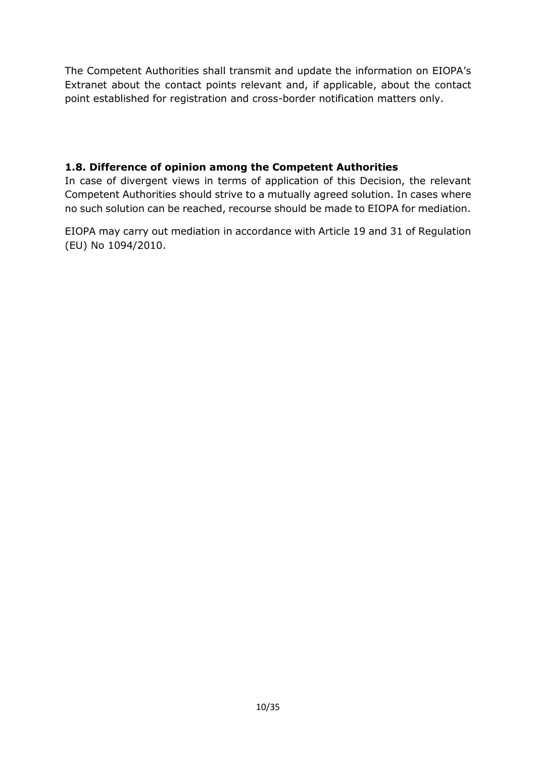The Competent Authorities shall transmit and update the information on EIOPA's Extranet about the contact points relevant and, if applicable, about the contact point established for registration and cross-border notification matters only.

## <span id="page-9-0"></span>**1.8. Difference of opinion among the Competent Authorities**

In case of divergent views in terms of application of this Decision, the relevant Competent Authorities should strive to a mutually agreed solution. In cases where no such solution can be reached, recourse should be made to EIOPA for mediation.

EIOPA may carry out mediation in accordance with Article 19 and 31 of Regulation (EU) No 1094/2010.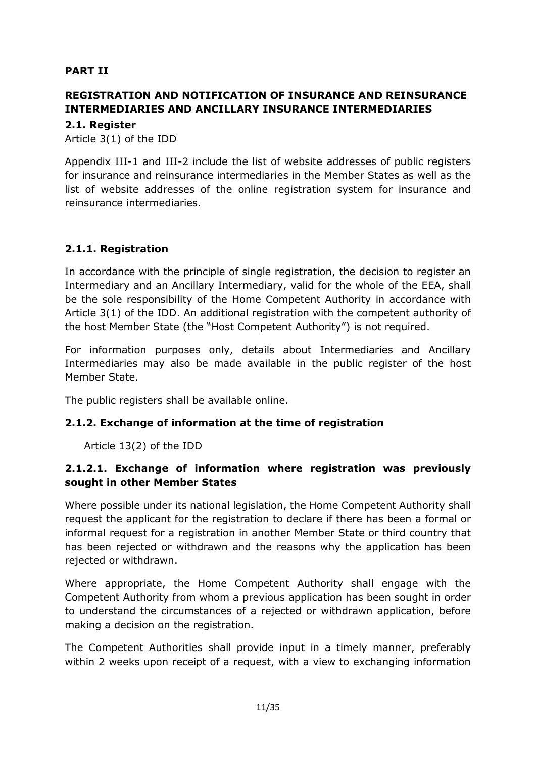## <span id="page-10-0"></span>**PART II**

# <span id="page-10-1"></span>**REGISTRATION AND NOTIFICATION OF INSURANCE AND REINSURANCE INTERMEDIARIES AND ANCILLARY INSURANCE INTERMEDIARIES**

<span id="page-10-2"></span>**2.1. Register** 

Article 3(1) of the IDD

Appendix III-1 and III-2 include the list of website addresses of public registers for insurance and reinsurance intermediaries in the Member States as well as the list of website addresses of the online registration system for insurance and reinsurance intermediaries.

### **2.1.1. Registration**

In accordance with the principle of single registration, the decision to register an Intermediary and an Ancillary Intermediary, valid for the whole of the EEA, shall be the sole responsibility of the Home Competent Authority in accordance with Article 3(1) of the IDD. An additional registration with the competent authority of the host Member State (the "Host Competent Authority") is not required.

For information purposes only, details about Intermediaries and Ancillary Intermediaries may also be made available in the public register of the host Member State.

The public registers shall be available online.

### **2.1.2. Exchange of information at the time of registration**

Article 13(2) of the IDD

### **2.1.2.1. Exchange of information where registration was previously sought in other Member States**

Where possible under its national legislation, the Home Competent Authority shall request the applicant for the registration to declare if there has been a formal or informal request for a registration in another Member State or third country that has been rejected or withdrawn and the reasons why the application has been rejected or withdrawn.

Where appropriate, the Home Competent Authority shall engage with the Competent Authority from whom a previous application has been sought in order to understand the circumstances of a rejected or withdrawn application, before making a decision on the registration.

The Competent Authorities shall provide input in a timely manner, preferably within 2 weeks upon receipt of a request, with a view to exchanging information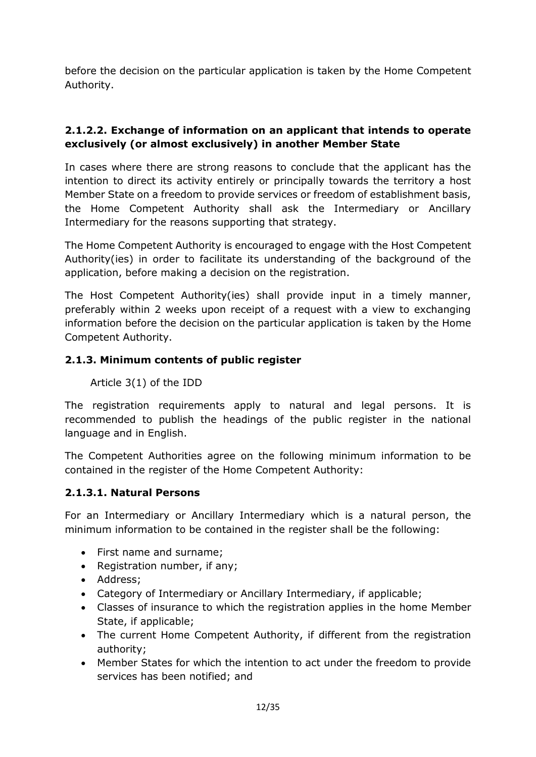before the decision on the particular application is taken by the Home Competent Authority.

## **2.1.2.2. Exchange of information on an applicant that intends to operate exclusively (or almost exclusively) in another Member State**

In cases where there are strong reasons to conclude that the applicant has the intention to direct its activity entirely or principally towards the territory a host Member State on a freedom to provide services or freedom of establishment basis, the Home Competent Authority shall ask the Intermediary or Ancillary Intermediary for the reasons supporting that strategy.

The Home Competent Authority is encouraged to engage with the Host Competent Authority(ies) in order to facilitate its understanding of the background of the application, before making a decision on the registration.

The Host Competent Authority(ies) shall provide input in a timely manner, preferably within 2 weeks upon receipt of a request with a view to exchanging information before the decision on the particular application is taken by the Home Competent Authority.

## **2.1.3. Minimum contents of public register**

## Article 3(1) of the IDD

The registration requirements apply to natural and legal persons. It is recommended to publish the headings of the public register in the national language and in English.

The Competent Authorities agree on the following minimum information to be contained in the register of the Home Competent Authority:

## **2.1.3.1. Natural Persons**

For an Intermediary or Ancillary Intermediary which is a natural person, the minimum information to be contained in the register shall be the following:

- First name and surname;
- Registration number, if any;
- Address:
- Category of Intermediary or Ancillary Intermediary, if applicable;
- Classes of insurance to which the registration applies in the home Member State, if applicable;
- The current Home Competent Authority, if different from the registration authority;
- Member States for which the intention to act under the freedom to provide services has been notified; and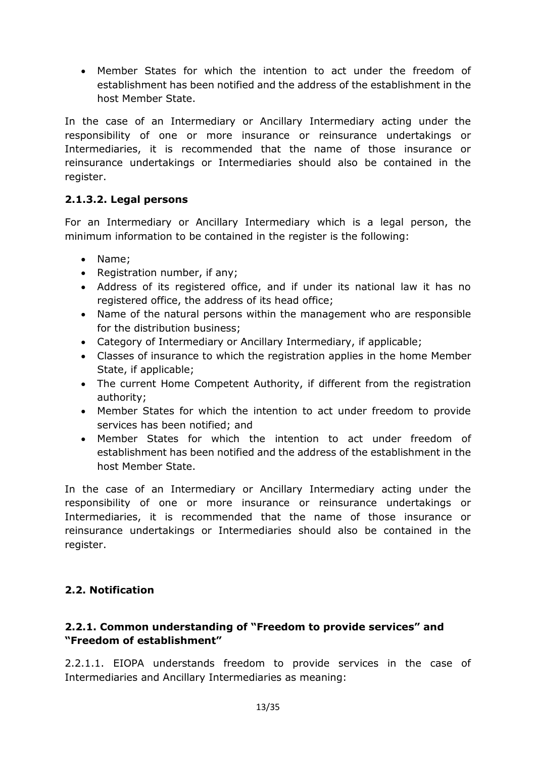Member States for which the intention to act under the freedom of establishment has been notified and the address of the establishment in the host Member State.

In the case of an Intermediary or Ancillary Intermediary acting under the responsibility of one or more insurance or reinsurance undertakings or Intermediaries, it is recommended that the name of those insurance or reinsurance undertakings or Intermediaries should also be contained in the register.

# **2.1.3.2. Legal persons**

For an Intermediary or Ancillary Intermediary which is a legal person, the minimum information to be contained in the register is the following:

- Name;
- Registration number, if any;
- Address of its registered office, and if under its national law it has no registered office, the address of its head office;
- Name of the natural persons within the management who are responsible for the distribution business;
- Category of Intermediary or Ancillary Intermediary, if applicable;
- Classes of insurance to which the registration applies in the home Member State, if applicable;
- The current Home Competent Authority, if different from the registration authority;
- Member States for which the intention to act under freedom to provide services has been notified; and
- Member States for which the intention to act under freedom of establishment has been notified and the address of the establishment in the host Member State.

In the case of an Intermediary or Ancillary Intermediary acting under the responsibility of one or more insurance or reinsurance undertakings or Intermediaries, it is recommended that the name of those insurance or reinsurance undertakings or Intermediaries should also be contained in the register.

# <span id="page-12-0"></span>**2.2. Notification**

## **2.2.1. Common understanding of "Freedom to provide services" and "Freedom of establishment"**

2.2.1.1. EIOPA understands freedom to provide services in the case of Intermediaries and Ancillary Intermediaries as meaning: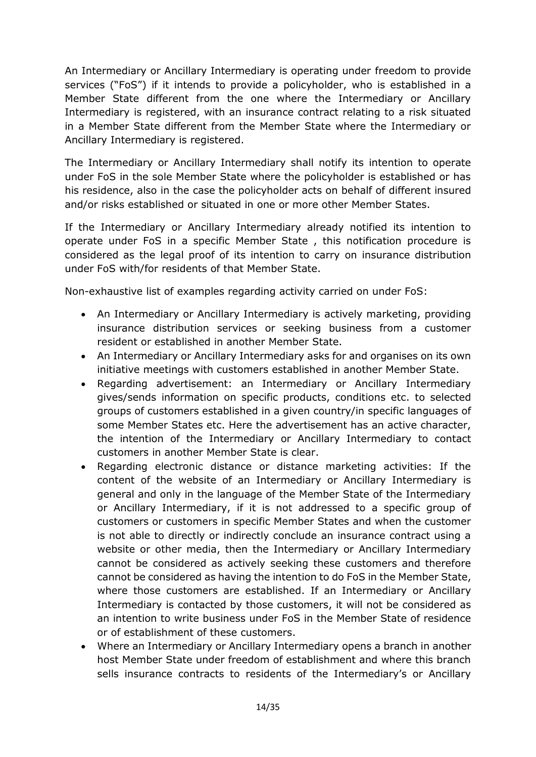An Intermediary or Ancillary Intermediary is operating under freedom to provide services ("FoS") if it intends to provide a policyholder, who is established in a Member State different from the one where the Intermediary or Ancillary Intermediary is registered, with an insurance contract relating to a risk situated in a Member State different from the Member State where the Intermediary or Ancillary Intermediary is registered.

The Intermediary or Ancillary Intermediary shall notify its intention to operate under FoS in the sole Member State where the policyholder is established or has his residence, also in the case the policyholder acts on behalf of different insured and/or risks established or situated in one or more other Member States.

If the Intermediary or Ancillary Intermediary already notified its intention to operate under FoS in a specific Member State , this notification procedure is considered as the legal proof of its intention to carry on insurance distribution under FoS with/for residents of that Member State.

Non-exhaustive list of examples regarding activity carried on under FoS:

- An Intermediary or Ancillary Intermediary is actively marketing, providing insurance distribution services or seeking business from a customer resident or established in another Member State.
- An Intermediary or Ancillary Intermediary asks for and organises on its own initiative meetings with customers established in another Member State.
- Regarding advertisement: an Intermediary or Ancillary Intermediary gives/sends information on specific products, conditions etc. to selected groups of customers established in a given country/in specific languages of some Member States etc. Here the advertisement has an active character, the intention of the Intermediary or Ancillary Intermediary to contact customers in another Member State is clear.
- Regarding electronic distance or distance marketing activities: If the content of the website of an Intermediary or Ancillary Intermediary is general and only in the language of the Member State of the Intermediary or Ancillary Intermediary, if it is not addressed to a specific group of customers or customers in specific Member States and when the customer is not able to directly or indirectly conclude an insurance contract using a website or other media, then the Intermediary or Ancillary Intermediary cannot be considered as actively seeking these customers and therefore cannot be considered as having the intention to do FoS in the Member State, where those customers are established. If an Intermediary or Ancillary Intermediary is contacted by those customers, it will not be considered as an intention to write business under FoS in the Member State of residence or of establishment of these customers.
- Where an Intermediary or Ancillary Intermediary opens a branch in another host Member State under freedom of establishment and where this branch sells insurance contracts to residents of the Intermediary's or Ancillary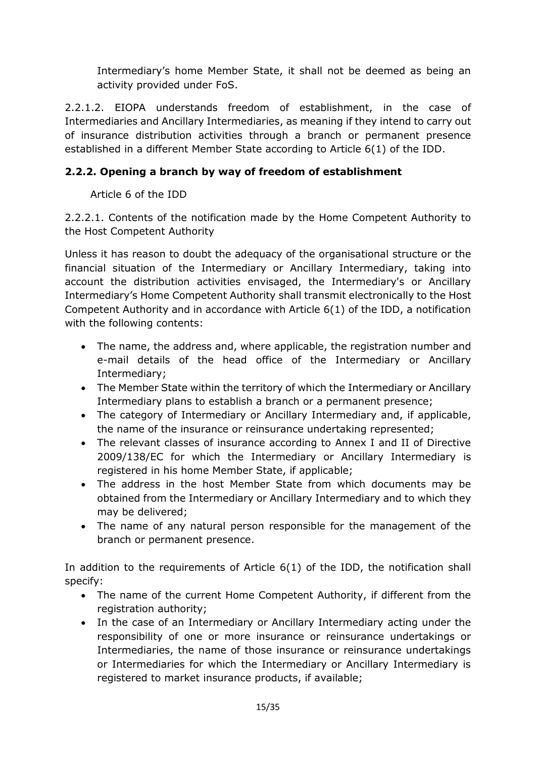Intermediary's home Member State, it shall not be deemed as being an activity provided under FoS.

2.2.1.2. EIOPA understands freedom of establishment, in the case of Intermediaries and Ancillary Intermediaries, as meaning if they intend to carry out of insurance distribution activities through a branch or permanent presence established in a different Member State according to Article 6(1) of the IDD.

# **2.2.2. Opening a branch by way of freedom of establishment**

Article 6 of the IDD

2.2.2.1. Contents of the notification made by the Home Competent Authority to the Host Competent Authority

Unless it has reason to doubt the adequacy of the organisational structure or the financial situation of the Intermediary or Ancillary Intermediary, taking into account the distribution activities envisaged, the Intermediary's or Ancillary Intermediary's Home Competent Authority shall transmit electronically to the Host Competent Authority and in accordance with Article 6(1) of the IDD, a notification with the following contents:

- The name, the address and, where applicable, the registration number and e-mail details of the head office of the Intermediary or Ancillary Intermediary;
- The Member State within the territory of which the Intermediary or Ancillary Intermediary plans to establish a branch or a permanent presence;
- The category of Intermediary or Ancillary Intermediary and, if applicable, the name of the insurance or reinsurance undertaking represented;
- The relevant classes of insurance according to Annex I and II of Directive 2009/138/EC for which the Intermediary or Ancillary Intermediary is registered in his home Member State, if applicable;
- The address in the host Member State from which documents may be obtained from the Intermediary or Ancillary Intermediary and to which they may be delivered;
- The name of any natural person responsible for the management of the branch or permanent presence.

In addition to the requirements of Article 6(1) of the IDD, the notification shall specify:

- The name of the current Home Competent Authority, if different from the registration authority;
- In the case of an Intermediary or Ancillary Intermediary acting under the responsibility of one or more insurance or reinsurance undertakings or Intermediaries, the name of those insurance or reinsurance undertakings or Intermediaries for which the Intermediary or Ancillary Intermediary is registered to market insurance products, if available;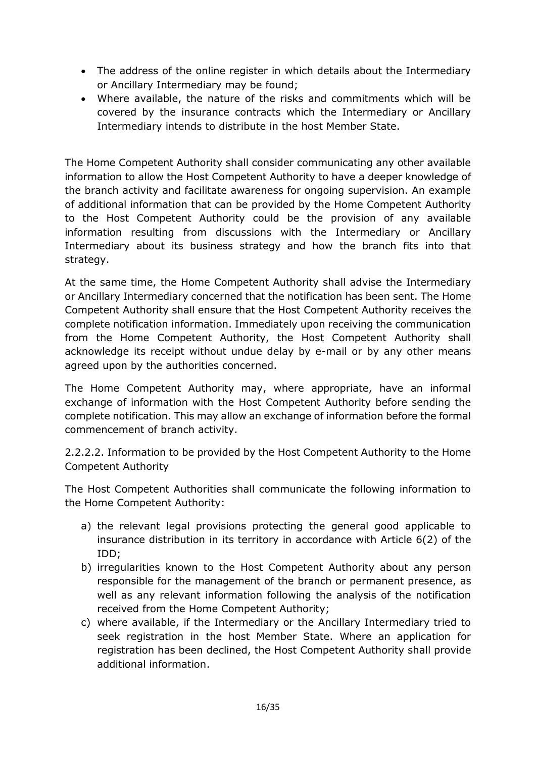- The address of the online register in which details about the Intermediary or Ancillary Intermediary may be found;
- Where available, the nature of the risks and commitments which will be covered by the insurance contracts which the Intermediary or Ancillary Intermediary intends to distribute in the host Member State.

The Home Competent Authority shall consider communicating any other available information to allow the Host Competent Authority to have a deeper knowledge of the branch activity and facilitate awareness for ongoing supervision. An example of additional information that can be provided by the Home Competent Authority to the Host Competent Authority could be the provision of any available information resulting from discussions with the Intermediary or Ancillary Intermediary about its business strategy and how the branch fits into that strategy.

At the same time, the Home Competent Authority shall advise the Intermediary or Ancillary Intermediary concerned that the notification has been sent. The Home Competent Authority shall ensure that the Host Competent Authority receives the complete notification information. Immediately upon receiving the communication from the Home Competent Authority, the Host Competent Authority shall acknowledge its receipt without undue delay by e-mail or by any other means agreed upon by the authorities concerned.

The Home Competent Authority may, where appropriate, have an informal exchange of information with the Host Competent Authority before sending the complete notification. This may allow an exchange of information before the formal commencement of branch activity.

2.2.2.2. Information to be provided by the Host Competent Authority to the Home Competent Authority

The Host Competent Authorities shall communicate the following information to the Home Competent Authority:

- a) the relevant legal provisions protecting the general good applicable to insurance distribution in its territory in accordance with Article 6(2) of the IDD;
- b) irregularities known to the Host Competent Authority about any person responsible for the management of the branch or permanent presence, as well as any relevant information following the analysis of the notification received from the Home Competent Authority;
- c) where available, if the Intermediary or the Ancillary Intermediary tried to seek registration in the host Member State. Where an application for registration has been declined, the Host Competent Authority shall provide additional information.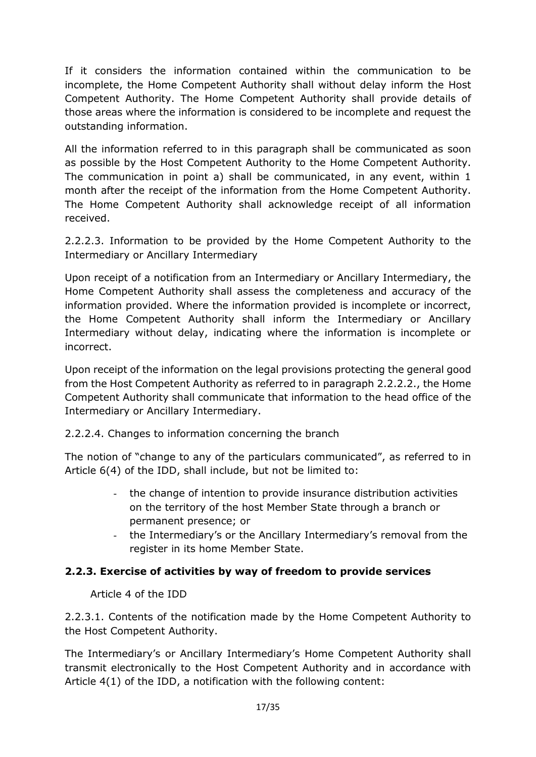If it considers the information contained within the communication to be incomplete, the Home Competent Authority shall without delay inform the Host Competent Authority. The Home Competent Authority shall provide details of those areas where the information is considered to be incomplete and request the outstanding information.

All the information referred to in this paragraph shall be communicated as soon as possible by the Host Competent Authority to the Home Competent Authority. The communication in point a) shall be communicated, in any event, within 1 month after the receipt of the information from the Home Competent Authority. The Home Competent Authority shall acknowledge receipt of all information received.

2.2.2.3. Information to be provided by the Home Competent Authority to the Intermediary or Ancillary Intermediary

Upon receipt of a notification from an Intermediary or Ancillary Intermediary, the Home Competent Authority shall assess the completeness and accuracy of the information provided. Where the information provided is incomplete or incorrect, the Home Competent Authority shall inform the Intermediary or Ancillary Intermediary without delay, indicating where the information is incomplete or incorrect.

Upon receipt of the information on the legal provisions protecting the general good from the Host Competent Authority as referred to in paragraph 2.2.2.2., the Home Competent Authority shall communicate that information to the head office of the Intermediary or Ancillary Intermediary.

## 2.2.2.4. Changes to information concerning the branch

The notion of "change to any of the particulars communicated", as referred to in Article 6(4) of the IDD, shall include, but not be limited to:

- the change of intention to provide insurance distribution activities on the territory of the host Member State through a branch or permanent presence; or
- the Intermediary's or the Ancillary Intermediary's removal from the register in its home Member State.

## **2.2.3. Exercise of activities by way of freedom to provide services**

Article 4 of the IDD

2.2.3.1. Contents of the notification made by the Home Competent Authority to the Host Competent Authority.

The Intermediary's or Ancillary Intermediary's Home Competent Authority shall transmit electronically to the Host Competent Authority and in accordance with Article 4(1) of the IDD, a notification with the following content: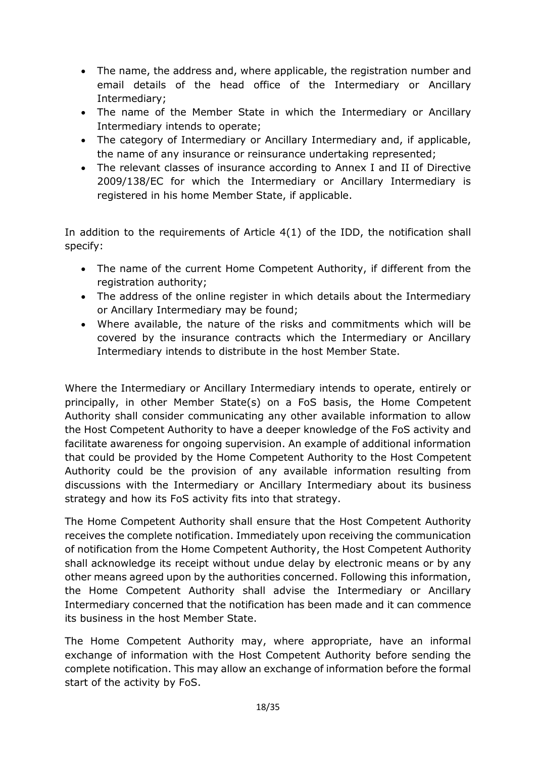- The name, the address and, where applicable, the registration number and email details of the head office of the Intermediary or Ancillary Intermediary;
- The name of the Member State in which the Intermediary or Ancillary Intermediary intends to operate;
- The category of Intermediary or Ancillary Intermediary and, if applicable, the name of any insurance or reinsurance undertaking represented;
- The relevant classes of insurance according to Annex I and II of Directive 2009/138/EC for which the Intermediary or Ancillary Intermediary is registered in his home Member State, if applicable.

In addition to the requirements of Article 4(1) of the IDD, the notification shall specify:

- The name of the current Home Competent Authority, if different from the registration authority;
- The address of the online register in which details about the Intermediary or Ancillary Intermediary may be found;
- Where available, the nature of the risks and commitments which will be covered by the insurance contracts which the Intermediary or Ancillary Intermediary intends to distribute in the host Member State.

Where the Intermediary or Ancillary Intermediary intends to operate, entirely or principally, in other Member State(s) on a FoS basis, the Home Competent Authority shall consider communicating any other available information to allow the Host Competent Authority to have a deeper knowledge of the FoS activity and facilitate awareness for ongoing supervision. An example of additional information that could be provided by the Home Competent Authority to the Host Competent Authority could be the provision of any available information resulting from discussions with the Intermediary or Ancillary Intermediary about its business strategy and how its FoS activity fits into that strategy.

The Home Competent Authority shall ensure that the Host Competent Authority receives the complete notification. Immediately upon receiving the communication of notification from the Home Competent Authority, the Host Competent Authority shall acknowledge its receipt without undue delay by electronic means or by any other means agreed upon by the authorities concerned. Following this information, the Home Competent Authority shall advise the Intermediary or Ancillary Intermediary concerned that the notification has been made and it can commence its business in the host Member State.

The Home Competent Authority may, where appropriate, have an informal exchange of information with the Host Competent Authority before sending the complete notification. This may allow an exchange of information before the formal start of the activity by FoS.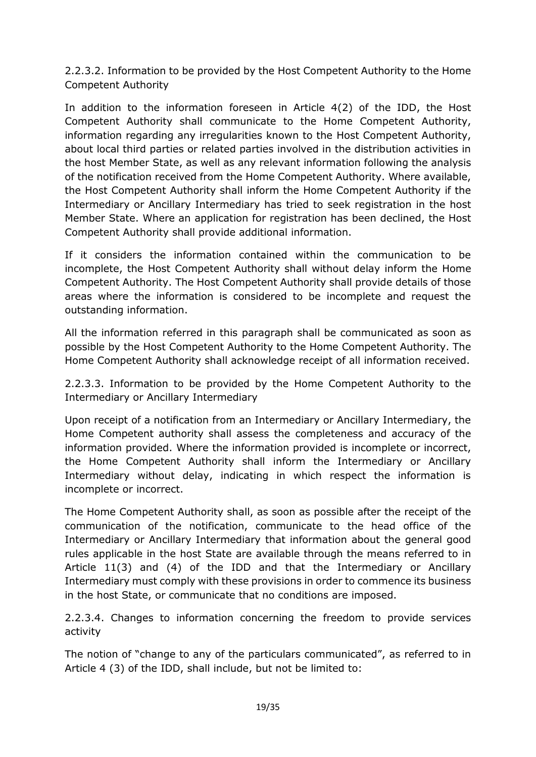2.2.3.2. Information to be provided by the Host Competent Authority to the Home Competent Authority

In addition to the information foreseen in Article 4(2) of the IDD, the Host Competent Authority shall communicate to the Home Competent Authority, information regarding any irregularities known to the Host Competent Authority, about local third parties or related parties involved in the distribution activities in the host Member State, as well as any relevant information following the analysis of the notification received from the Home Competent Authority. Where available, the Host Competent Authority shall inform the Home Competent Authority if the Intermediary or Ancillary Intermediary has tried to seek registration in the host Member State. Where an application for registration has been declined, the Host Competent Authority shall provide additional information.

If it considers the information contained within the communication to be incomplete, the Host Competent Authority shall without delay inform the Home Competent Authority. The Host Competent Authority shall provide details of those areas where the information is considered to be incomplete and request the outstanding information.

All the information referred in this paragraph shall be communicated as soon as possible by the Host Competent Authority to the Home Competent Authority. The Home Competent Authority shall acknowledge receipt of all information received.

2.2.3.3. Information to be provided by the Home Competent Authority to the Intermediary or Ancillary Intermediary

Upon receipt of a notification from an Intermediary or Ancillary Intermediary, the Home Competent authority shall assess the completeness and accuracy of the information provided. Where the information provided is incomplete or incorrect, the Home Competent Authority shall inform the Intermediary or Ancillary Intermediary without delay, indicating in which respect the information is incomplete or incorrect.

The Home Competent Authority shall, as soon as possible after the receipt of the communication of the notification, communicate to the head office of the Intermediary or Ancillary Intermediary that information about the general good rules applicable in the host State are available through the means referred to in Article 11(3) and (4) of the IDD and that the Intermediary or Ancillary Intermediary must comply with these provisions in order to commence its business in the host State, or communicate that no conditions are imposed.

2.2.3.4. Changes to information concerning the freedom to provide services activity

The notion of "change to any of the particulars communicated", as referred to in Article 4 (3) of the IDD, shall include, but not be limited to: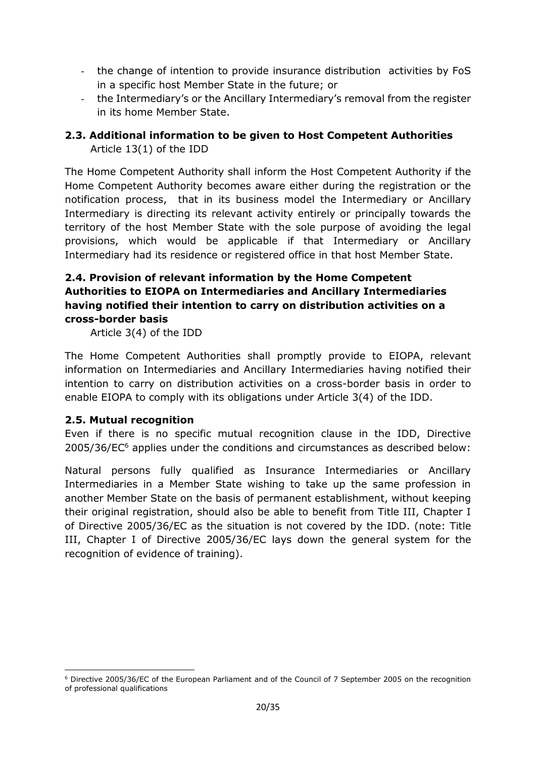- the change of intention to provide insurance distribution activities by FoS in a specific host Member State in the future; or
- the Intermediary's or the Ancillary Intermediary's removal from the register in its home Member State.

# <span id="page-19-0"></span>**2.3. Additional information to be given to Host Competent Authorities**  Article 13(1) of the IDD

The Home Competent Authority shall inform the Host Competent Authority if the Home Competent Authority becomes aware either during the registration or the notification process, that in its business model the Intermediary or Ancillary Intermediary is directing its relevant activity entirely or principally towards the territory of the host Member State with the sole purpose of avoiding the legal provisions, which would be applicable if that Intermediary or Ancillary Intermediary had its residence or registered office in that host Member State.

## <span id="page-19-1"></span>**2.4. Provision of relevant information by the Home Competent Authorities to EIOPA on Intermediaries and Ancillary Intermediaries having notified their intention to carry on distribution activities on a cross-border basis**

Article 3(4) of the IDD

The Home Competent Authorities shall promptly provide to EIOPA, relevant information on Intermediaries and Ancillary Intermediaries having notified their intention to carry on distribution activities on a cross-border basis in order to enable EIOPA to comply with its obligations under Article 3(4) of the IDD.

## <span id="page-19-2"></span>**2.5. Mutual recognition**

**.** 

Even if there is no specific mutual recognition clause in the IDD, Directive 2005/36/EC<sup>6</sup> applies under the conditions and circumstances as described below:

Natural persons fully qualified as Insurance Intermediaries or Ancillary Intermediaries in a Member State wishing to take up the same profession in another Member State on the basis of permanent establishment, without keeping their original registration, should also be able to benefit from Title III, Chapter I of Directive 2005/36/EC as the situation is not covered by the IDD. (note: Title III, Chapter I of Directive 2005/36/EC lays down the general system for the recognition of evidence of training).

<sup>6</sup> Directive 2005/36/EC of the European Parliament and of the Council of 7 September 2005 on the recognition of professional qualifications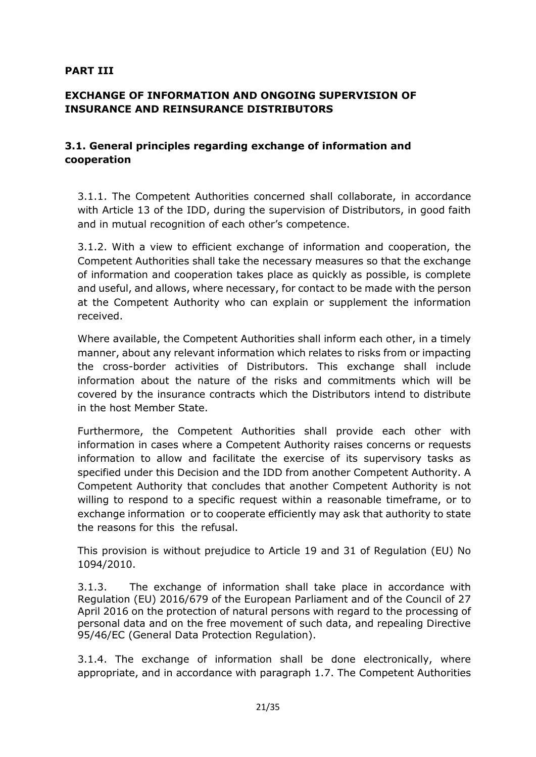### <span id="page-20-0"></span>**PART III**

## <span id="page-20-1"></span>**EXCHANGE OF INFORMATION AND ONGOING SUPERVISION OF INSURANCE AND REINSURANCE DISTRIBUTORS**

## <span id="page-20-2"></span>**3.1. General principles regarding exchange of information and cooperation**

3.1.1. The Competent Authorities concerned shall collaborate, in accordance with Article 13 of the IDD, during the supervision of Distributors, in good faith and in mutual recognition of each other's competence.

3.1.2. With a view to efficient exchange of information and cooperation, the Competent Authorities shall take the necessary measures so that the exchange of information and cooperation takes place as quickly as possible, is complete and useful, and allows, where necessary, for contact to be made with the person at the Competent Authority who can explain or supplement the information received.

Where available, the Competent Authorities shall inform each other, in a timely manner, about any relevant information which relates to risks from or impacting the cross-border activities of Distributors. This exchange shall include information about the nature of the risks and commitments which will be covered by the insurance contracts which the Distributors intend to distribute in the host Member State.

Furthermore, the Competent Authorities shall provide each other with information in cases where a Competent Authority raises concerns or requests information to allow and facilitate the exercise of its supervisory tasks as specified under this Decision and the IDD from another Competent Authority. A Competent Authority that concludes that another Competent Authority is not willing to respond to a specific request within a reasonable timeframe, or to exchange information or to cooperate efficiently may ask that authority to state the reasons for this the refusal.

This provision is without prejudice to Article 19 and 31 of Regulation (EU) No 1094/2010.

3.1.3. The exchange of information shall take place in accordance with Regulation (EU) 2016/679 of the European Parliament and of the Council of 27 April 2016 on the protection of natural persons with regard to the processing of personal data and on the free movement of such data, and repealing Directive 95/46/EC (General Data Protection Regulation).

3.1.4. The exchange of information shall be done electronically, where appropriate, and in accordance with paragraph 1.7. The Competent Authorities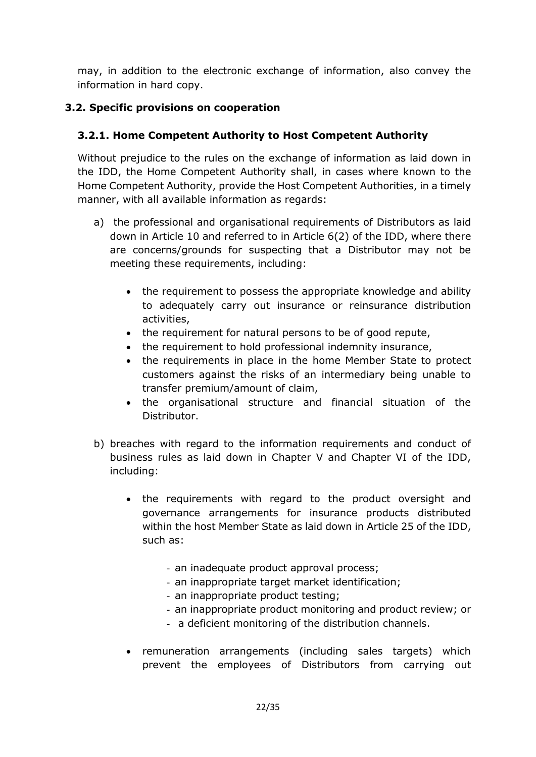may, in addition to the electronic exchange of information, also convey the information in hard copy.

# <span id="page-21-0"></span>**3.2. Specific provisions on cooperation**

# **3.2.1. Home Competent Authority to Host Competent Authority**

Without prejudice to the rules on the exchange of information as laid down in the IDD, the Home Competent Authority shall, in cases where known to the Home Competent Authority, provide the Host Competent Authorities, in a timely manner, with all available information as regards:

- a) the professional and organisational requirements of Distributors as laid down in Article 10 and referred to in Article 6(2) of the IDD, where there are concerns/grounds for suspecting that a Distributor may not be meeting these requirements, including:
	- the requirement to possess the appropriate knowledge and ability to adequately carry out insurance or reinsurance distribution activities,
	- the requirement for natural persons to be of good repute,
	- the requirement to hold professional indemnity insurance,
	- the requirements in place in the home Member State to protect customers against the risks of an intermediary being unable to transfer premium/amount of claim,
	- the organisational structure and financial situation of the Distributor.
- b) breaches with regard to the information requirements and conduct of business rules as laid down in Chapter V and Chapter VI of the IDD, including:
	- the requirements with regard to the product oversight and governance arrangements for insurance products distributed within the host Member State as laid down in Article 25 of the IDD, such as:
		- an inadequate product approval process;
		- an inappropriate target market identification;
		- an inappropriate product testing;
		- an inappropriate product monitoring and product review; or
		- a deficient monitoring of the distribution channels.
	- remuneration arrangements (including sales targets) which prevent the employees of Distributors from carrying out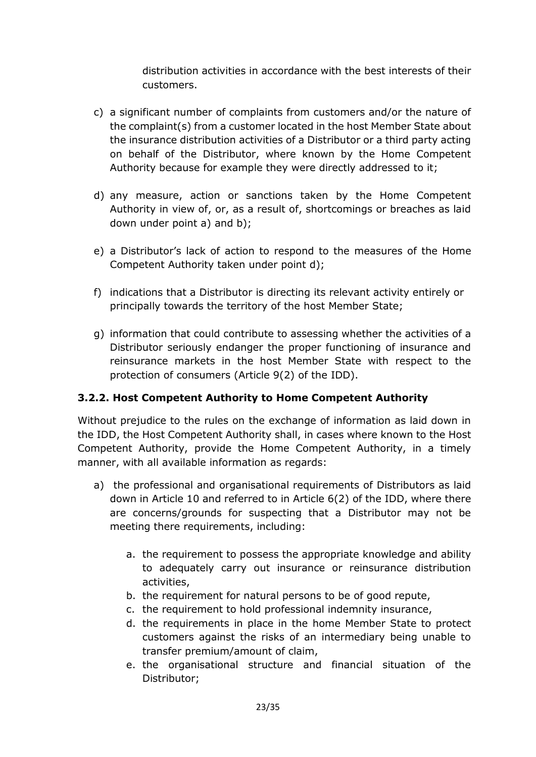distribution activities in accordance with the best interests of their customers.

- c) a significant number of complaints from customers and/or the nature of the complaint(s) from a customer located in the host Member State about the insurance distribution activities of a Distributor or a third party acting on behalf of the Distributor, where known by the Home Competent Authority because for example they were directly addressed to it;
- d) any measure, action or sanctions taken by the Home Competent Authority in view of, or, as a result of, shortcomings or breaches as laid down under point a) and b);
- e) a Distributor's lack of action to respond to the measures of the Home Competent Authority taken under point d);
- f) indications that a Distributor is directing its relevant activity entirely or principally towards the territory of the host Member State;
- g) information that could contribute to assessing whether the activities of a Distributor seriously endanger the proper functioning of insurance and reinsurance markets in the host Member State with respect to the protection of consumers (Article 9(2) of the IDD).

# **3.2.2. Host Competent Authority to Home Competent Authority**

Without prejudice to the rules on the exchange of information as laid down in the IDD, the Host Competent Authority shall, in cases where known to the Host Competent Authority, provide the Home Competent Authority, in a timely manner, with all available information as regards:

- a) the professional and organisational requirements of Distributors as laid down in Article 10 and referred to in Article 6(2) of the IDD, where there are concerns/grounds for suspecting that a Distributor may not be meeting there requirements, including:
	- a. the requirement to possess the appropriate knowledge and ability to adequately carry out insurance or reinsurance distribution activities,
	- b. the requirement for natural persons to be of good repute,
	- c. the requirement to hold professional indemnity insurance,
	- d. the requirements in place in the home Member State to protect customers against the risks of an intermediary being unable to transfer premium/amount of claim,
	- e. the organisational structure and financial situation of the Distributor;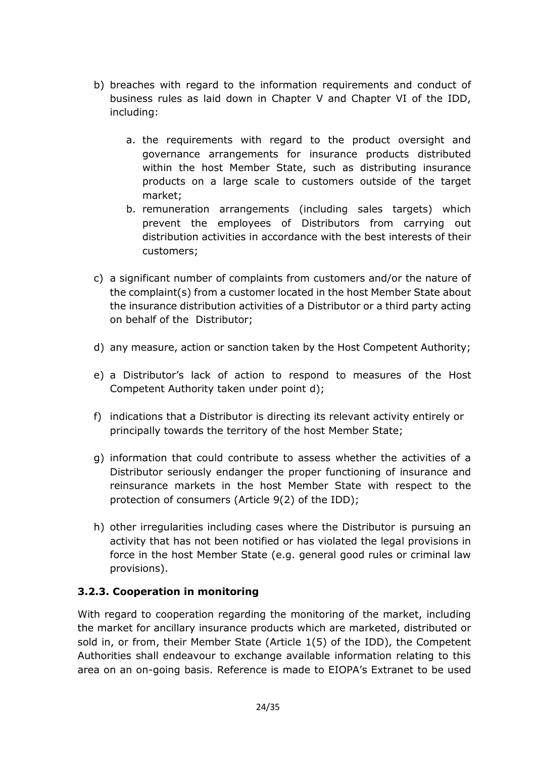- b) breaches with regard to the information requirements and conduct of business rules as laid down in Chapter V and Chapter VI of the IDD, including:
	- a. the requirements with regard to the product oversight and governance arrangements for insurance products distributed within the host Member State, such as distributing insurance products on a large scale to customers outside of the target market;
	- b. remuneration arrangements (including sales targets) which prevent the employees of Distributors from carrying out distribution activities in accordance with the best interests of their customers;
- c) a significant number of complaints from customers and/or the nature of the complaint(s) from a customer located in the host Member State about the insurance distribution activities of a Distributor or a third party acting on behalf of the Distributor;
- d) any measure, action or sanction taken by the Host Competent Authority;
- e) a Distributor's lack of action to respond to measures of the Host Competent Authority taken under point d);
- f) indications that a Distributor is directing its relevant activity entirely or principally towards the territory of the host Member State;
- g) information that could contribute to assess whether the activities of a Distributor seriously endanger the proper functioning of insurance and reinsurance markets in the host Member State with respect to the protection of consumers (Article 9(2) of the IDD);
- h) other irregularities including cases where the Distributor is pursuing an activity that has not been notified or has violated the legal provisions in force in the host Member State (e.g. general good rules or criminal law provisions).

# **3.2.3. Cooperation in monitoring**

With regard to cooperation regarding the monitoring of the market, including the market for ancillary insurance products which are marketed, distributed or sold in, or from, their Member State (Article 1(5) of the IDD), the Competent Authorities shall endeavour to exchange available information relating to this area on an on-going basis. Reference is made to EIOPA's Extranet to be used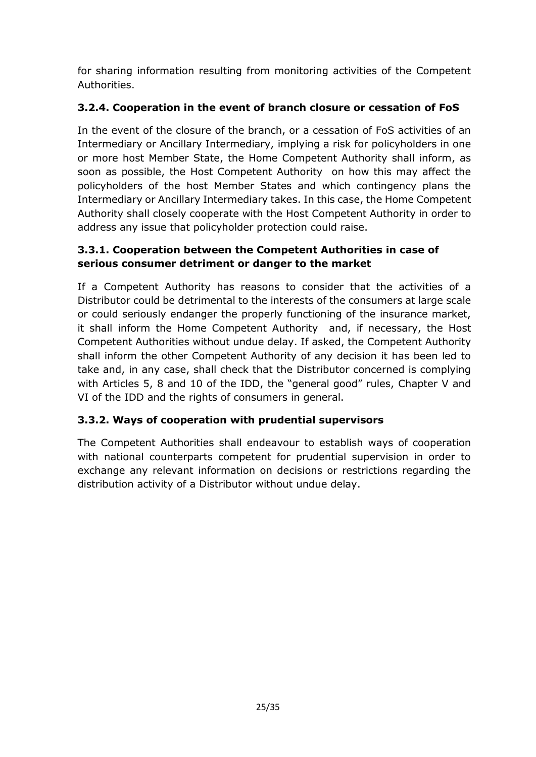for sharing information resulting from monitoring activities of the Competent Authorities.

# **3.2.4. Cooperation in the event of branch closure or cessation of FoS**

In the event of the closure of the branch, or a cessation of FoS activities of an Intermediary or Ancillary Intermediary, implying a risk for policyholders in one or more host Member State, the Home Competent Authority shall inform, as soon as possible, the Host Competent Authority on how this may affect the policyholders of the host Member States and which contingency plans the Intermediary or Ancillary Intermediary takes. In this case, the Home Competent Authority shall closely cooperate with the Host Competent Authority in order to address any issue that policyholder protection could raise.

# **3.3.1. Cooperation between the Competent Authorities in case of serious consumer detriment or danger to the market**

If a Competent Authority has reasons to consider that the activities of a Distributor could be detrimental to the interests of the consumers at large scale or could seriously endanger the properly functioning of the insurance market, it shall inform the Home Competent Authority and, if necessary, the Host Competent Authorities without undue delay. If asked, the Competent Authority shall inform the other Competent Authority of any decision it has been led to take and, in any case, shall check that the Distributor concerned is complying with Articles 5, 8 and 10 of the IDD, the "general good" rules, Chapter V and VI of the IDD and the rights of consumers in general.

# **3.3.2. Ways of cooperation with prudential supervisors**

The Competent Authorities shall endeavour to establish ways of cooperation with national counterparts competent for prudential supervision in order to exchange any relevant information on decisions or restrictions regarding the distribution activity of a Distributor without undue delay.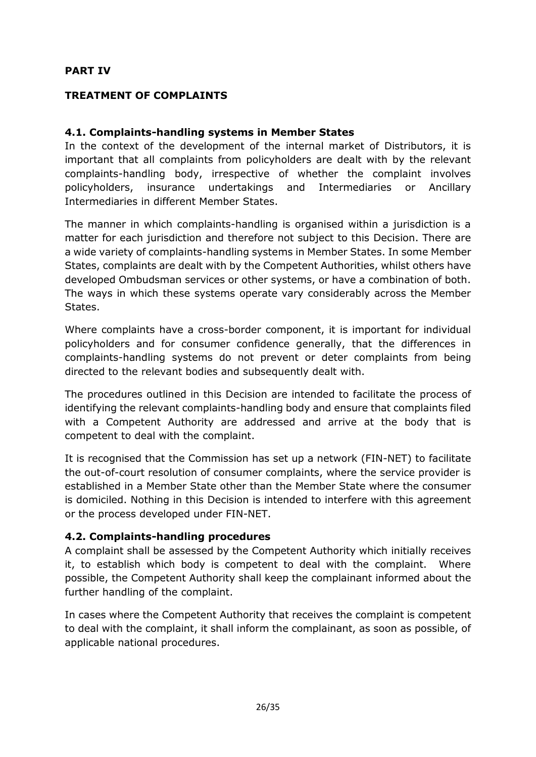### <span id="page-25-0"></span>**PART IV**

### <span id="page-25-1"></span>**TREATMENT OF COMPLAINTS**

### <span id="page-25-2"></span>**4.1. Complaints-handling systems in Member States**

In the context of the development of the internal market of Distributors, it is important that all complaints from policyholders are dealt with by the relevant complaints-handling body, irrespective of whether the complaint involves policyholders, insurance undertakings and Intermediaries or Ancillary Intermediaries in different Member States.

The manner in which complaints-handling is organised within a jurisdiction is a matter for each jurisdiction and therefore not subject to this Decision. There are a wide variety of complaints-handling systems in Member States. In some Member States, complaints are dealt with by the Competent Authorities, whilst others have developed Ombudsman services or other systems, or have a combination of both. The ways in which these systems operate vary considerably across the Member States.

Where complaints have a cross-border component, it is important for individual policyholders and for consumer confidence generally, that the differences in complaints-handling systems do not prevent or deter complaints from being directed to the relevant bodies and subsequently dealt with.

The procedures outlined in this Decision are intended to facilitate the process of identifying the relevant complaints-handling body and ensure that complaints filed with a Competent Authority are addressed and arrive at the body that is competent to deal with the complaint.

It is recognised that the Commission has set up a network (FIN-NET) to facilitate the out-of-court resolution of consumer complaints, where the service provider is established in a Member State other than the Member State where the consumer is domiciled. Nothing in this Decision is intended to interfere with this agreement or the process developed under FIN-NET.

### <span id="page-25-3"></span>**4.2. Complaints-handling procedures**

A complaint shall be assessed by the Competent Authority which initially receives it, to establish which body is competent to deal with the complaint. Where possible, the Competent Authority shall keep the complainant informed about the further handling of the complaint.

In cases where the Competent Authority that receives the complaint is competent to deal with the complaint, it shall inform the complainant, as soon as possible, of applicable national procedures.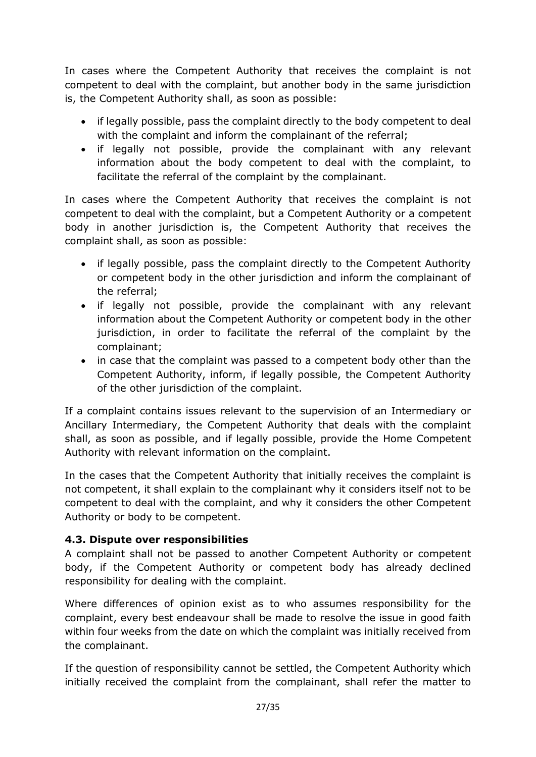In cases where the Competent Authority that receives the complaint is not competent to deal with the complaint, but another body in the same jurisdiction is, the Competent Authority shall, as soon as possible:

- if legally possible, pass the complaint directly to the body competent to deal with the complaint and inform the complainant of the referral;
- if legally not possible, provide the complainant with any relevant information about the body competent to deal with the complaint, to facilitate the referral of the complaint by the complainant.

In cases where the Competent Authority that receives the complaint is not competent to deal with the complaint, but a Competent Authority or a competent body in another jurisdiction is, the Competent Authority that receives the complaint shall, as soon as possible:

- if legally possible, pass the complaint directly to the Competent Authority or competent body in the other jurisdiction and inform the complainant of the referral;
- if legally not possible, provide the complainant with any relevant information about the Competent Authority or competent body in the other jurisdiction, in order to facilitate the referral of the complaint by the complainant;
- in case that the complaint was passed to a competent body other than the Competent Authority, inform, if legally possible, the Competent Authority of the other jurisdiction of the complaint.

If a complaint contains issues relevant to the supervision of an Intermediary or Ancillary Intermediary, the Competent Authority that deals with the complaint shall, as soon as possible, and if legally possible, provide the Home Competent Authority with relevant information on the complaint.

In the cases that the Competent Authority that initially receives the complaint is not competent, it shall explain to the complainant why it considers itself not to be competent to deal with the complaint, and why it considers the other Competent Authority or body to be competent.

# <span id="page-26-0"></span>**4.3. Dispute over responsibilities**

A complaint shall not be passed to another Competent Authority or competent body, if the Competent Authority or competent body has already declined responsibility for dealing with the complaint.

Where differences of opinion exist as to who assumes responsibility for the complaint, every best endeavour shall be made to resolve the issue in good faith within four weeks from the date on which the complaint was initially received from the complainant.

If the question of responsibility cannot be settled, the Competent Authority which initially received the complaint from the complainant, shall refer the matter to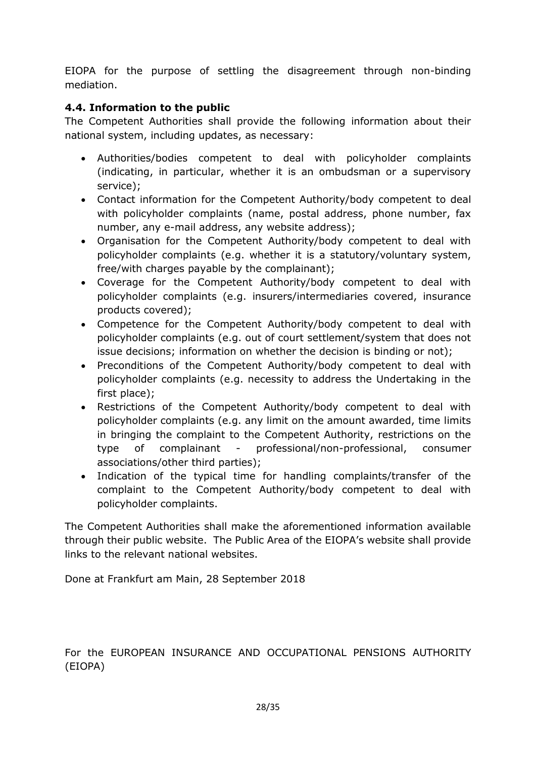EIOPA for the purpose of settling the disagreement through non-binding mediation.

# <span id="page-27-0"></span>**4.4. Information to the public**

The Competent Authorities shall provide the following information about their national system, including updates, as necessary:

- Authorities/bodies competent to deal with policyholder complaints (indicating, in particular, whether it is an ombudsman or a supervisory service);
- Contact information for the Competent Authority/body competent to deal with policyholder complaints (name, postal address, phone number, fax number, any e-mail address, any website address);
- Organisation for the Competent Authority/body competent to deal with policyholder complaints (e.g. whether it is a statutory/voluntary system, free/with charges payable by the complainant);
- Coverage for the Competent Authority/body competent to deal with policyholder complaints (e.g. insurers/intermediaries covered, insurance products covered);
- Competence for the Competent Authority/body competent to deal with policyholder complaints (e.g. out of court settlement/system that does not issue decisions; information on whether the decision is binding or not);
- Preconditions of the Competent Authority/body competent to deal with policyholder complaints (e.g. necessity to address the Undertaking in the first place);
- Restrictions of the Competent Authority/body competent to deal with policyholder complaints (e.g. any limit on the amount awarded, time limits in bringing the complaint to the Competent Authority, restrictions on the type of complainant - professional/non-professional, consumer associations/other third parties);
- Indication of the typical time for handling complaints/transfer of the complaint to the Competent Authority/body competent to deal with policyholder complaints.

The Competent Authorities shall make the aforementioned information available through their public website. The Public Area of the EIOPA's website shall provide links to the relevant national websites.

Done at Frankfurt am Main, 28 September 2018

For the EUROPEAN INSURANCE AND OCCUPATIONAL PENSIONS AUTHORITY (EIOPA)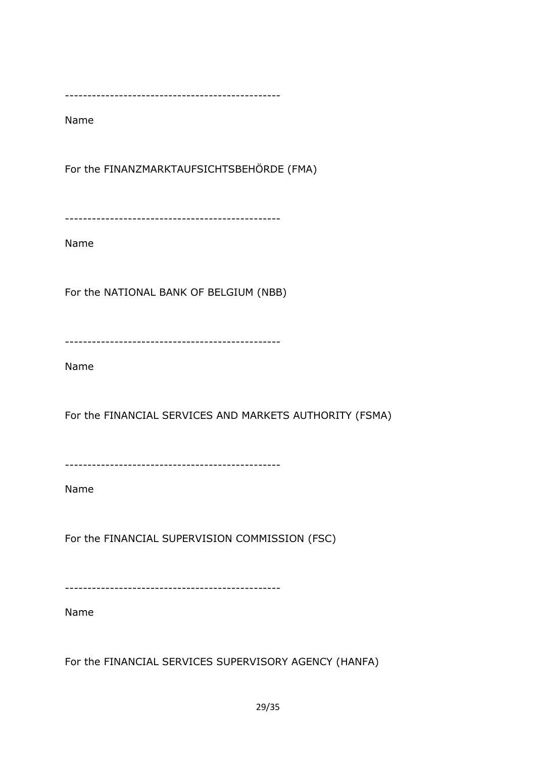Name

For the FINANZMARKTAUFSICHTSBEHÖRDE (FMA)

------------------------------------------------

Name

For the NATIONAL BANK OF BELGIUM (NBB)

------------------------------------------------

Name

For the FINANCIAL SERVICES AND MARKETS AUTHORITY (FSMA)

------------------------------------------------

Name

For the FINANCIAL SUPERVISION COMMISSION (FSC)

------------------------------------------------

Name

For the FINANCIAL SERVICES SUPERVISORY AGENCY (HANFA)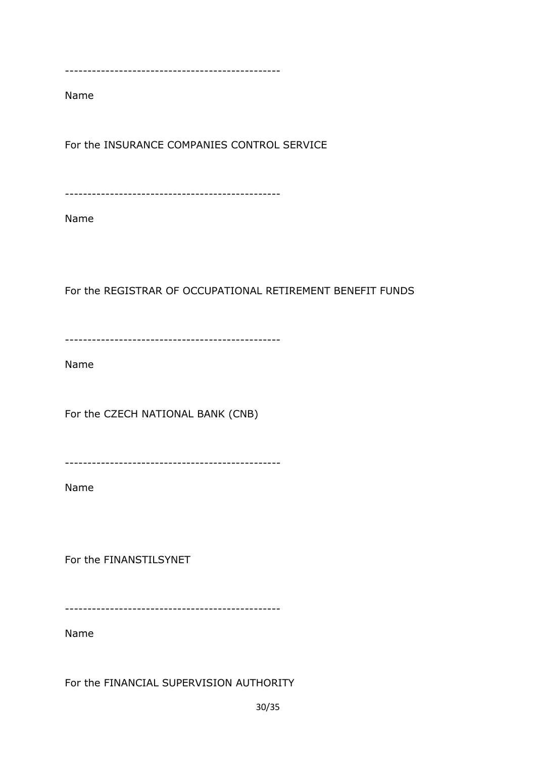Name

For the INSURANCE COMPANIES CONTROL SERVICE

------------------------------------------------

Name

For the REGISTRAR OF OCCUPATIONAL RETIREMENT BENEFIT FUNDS

------------------------------------------------

Name

For the CZECH NATIONAL BANK (CNB)

------------------------------------------------

Name

For the FINANSTILSYNET

------------------------------------------------

Name

For the FINANCIAL SUPERVISION AUTHORITY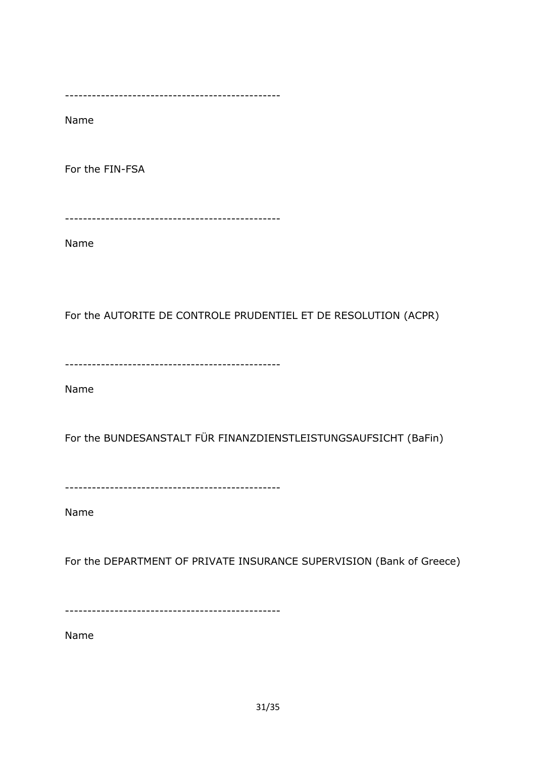Name

For the FIN-FSA

------------------------------------------------

Name

For the AUTORITE DE CONTROLE PRUDENTIEL ET DE RESOLUTION (ACPR)

------------------------------------------------

Name

For the BUNDESANSTALT FÜR FINANZDIENSTLEISTUNGSAUFSICHT (BaFin)

------------------------------------------------

Name

For the DEPARTMENT OF PRIVATE INSURANCE SUPERVISION (Bank of Greece)

------------------------------------------------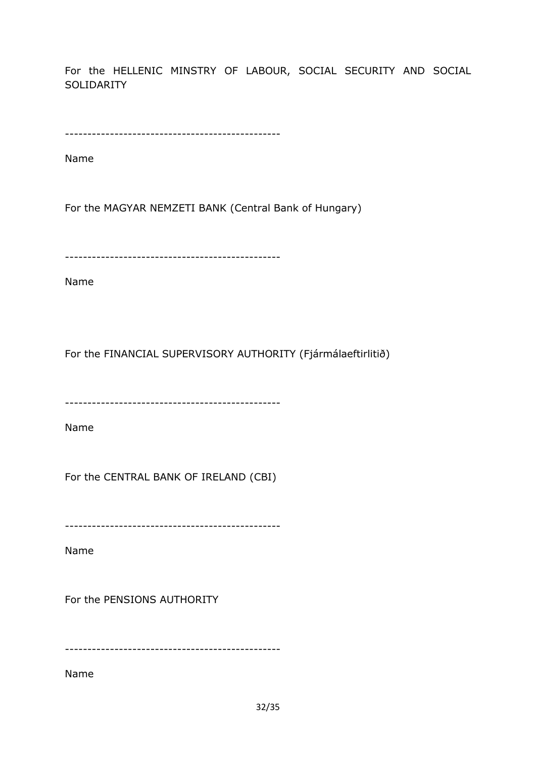For the HELLENIC MINSTRY OF LABOUR, SOCIAL SECURITY AND SOCIAL SOLIDARITY

```
------------------------------------------------
```
Name

For the MAGYAR NEMZETI BANK (Central Bank of Hungary)

------------------------------------------------

Name

For the FINANCIAL SUPERVISORY AUTHORITY (Fjármálaeftirlitið)

------------------------------------------------

Name

For the CENTRAL BANK OF IRELAND (CBI)

------------------------------------------------

Name

For the PENSIONS AUTHORITY

------------------------------------------------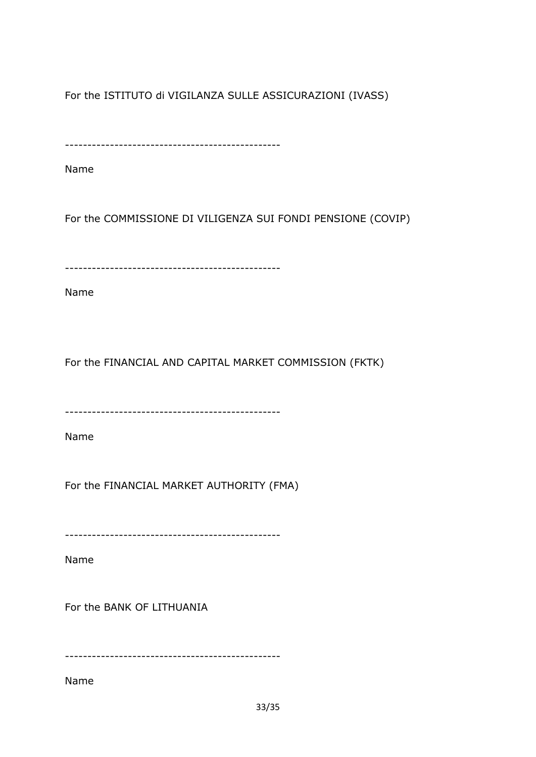For the ISTITUTO di VIGILANZA SULLE ASSICURAZIONI (IVASS)

------------------------------------------------

Name

For the COMMISSIONE DI VILIGENZA SUI FONDI PENSIONE (COVIP)

------------------------------------------------

Name

For the FINANCIAL AND CAPITAL MARKET COMMISSION (FKTK)

------------------------------------------------

Name

For the FINANCIAL MARKET AUTHORITY (FMA)

------------------------------------------------

Name

For the BANK OF LITHUANIA

------------------------------------------------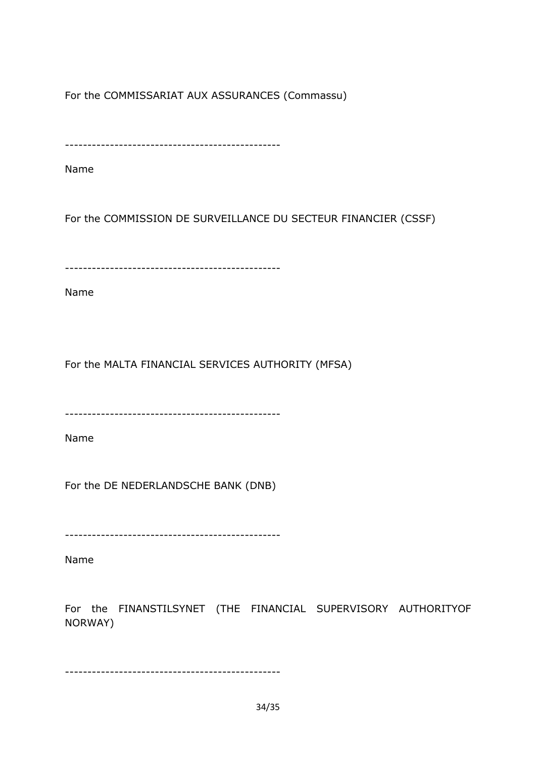For the COMMISSARIAT AUX ASSURANCES (Commassu)

------------------------------------------------

Name

For the COMMISSION DE SURVEILLANCE DU SECTEUR FINANCIER (CSSF)

------------------------------------------------

Name

For the MALTA FINANCIAL SERVICES AUTHORITY (MFSA)

------------------------------------------------

Name

For the DE NEDERLANDSCHE BANK (DNB)

------------------------------------------------

Name

For the FINANSTILSYNET (THE FINANCIAL SUPERVISORY AUTHORITYOF NORWAY)

------------------------------------------------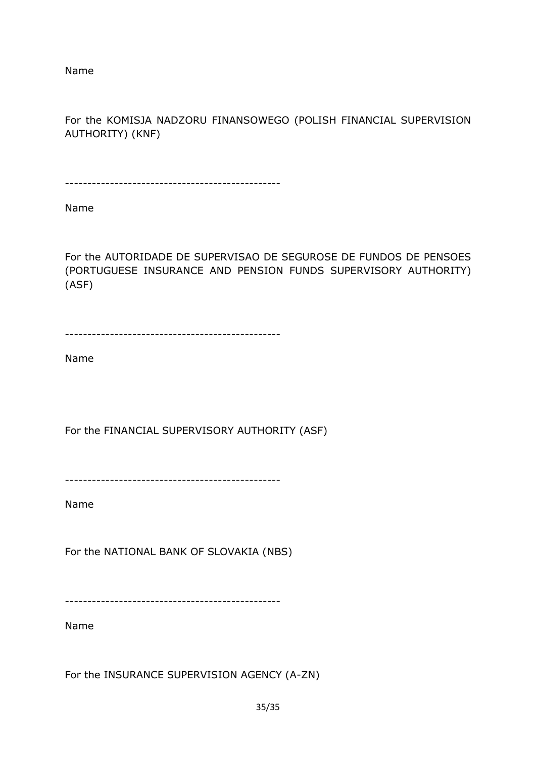Name

For the KOMISJA NADZORU FINANSOWEGO (POLISH FINANCIAL SUPERVISION AUTHORITY) (KNF)

------------------------------------------------

Name

For the AUTORIDADE DE SUPERVISAO DE SEGUROSE DE FUNDOS DE PENSOES (PORTUGUESE INSURANCE AND PENSION FUNDS SUPERVISORY AUTHORITY) (ASF)

------------------------------------------------

Name

For the FINANCIAL SUPERVISORY AUTHORITY (ASF)

------------------------------------------------

Name

For the NATIONAL BANK OF SLOVAKIA (NBS)

------------------------------------------------

Name

For the INSURANCE SUPERVISION AGENCY (A-ZN)